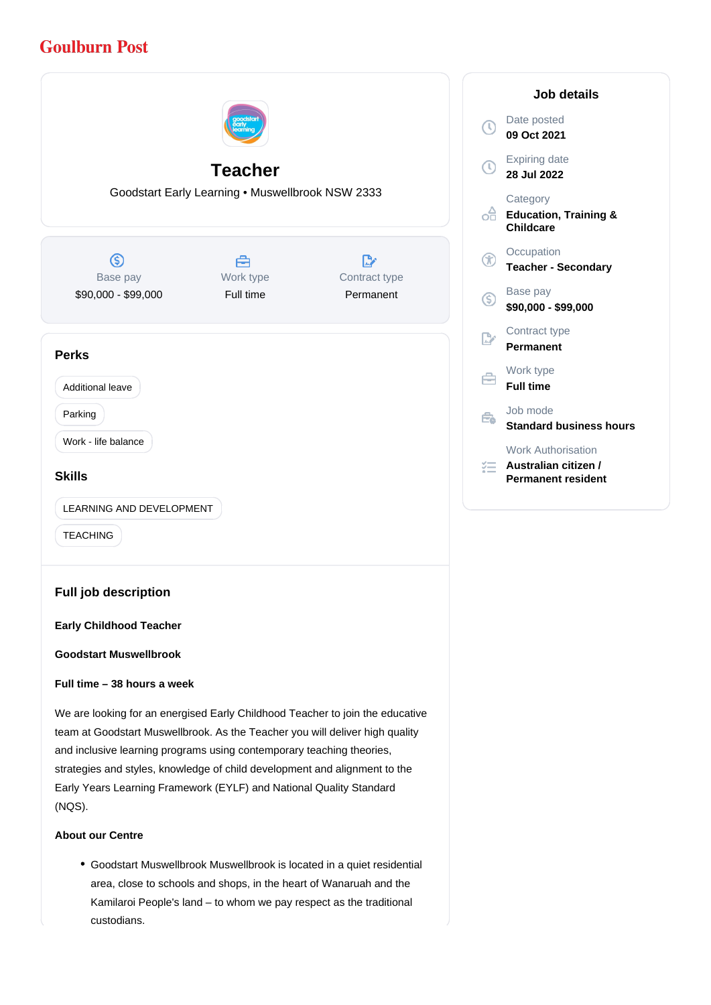# **Goulburn Post**



#### **About our Centre**

(NQS).

Goodstart Muswellbrook Muswellbrook is located in a quiet residential area, close to schools and shops, in the heart of Wanaruah and the Kamilaroi People's land – to whom we pay respect as the traditional custodians.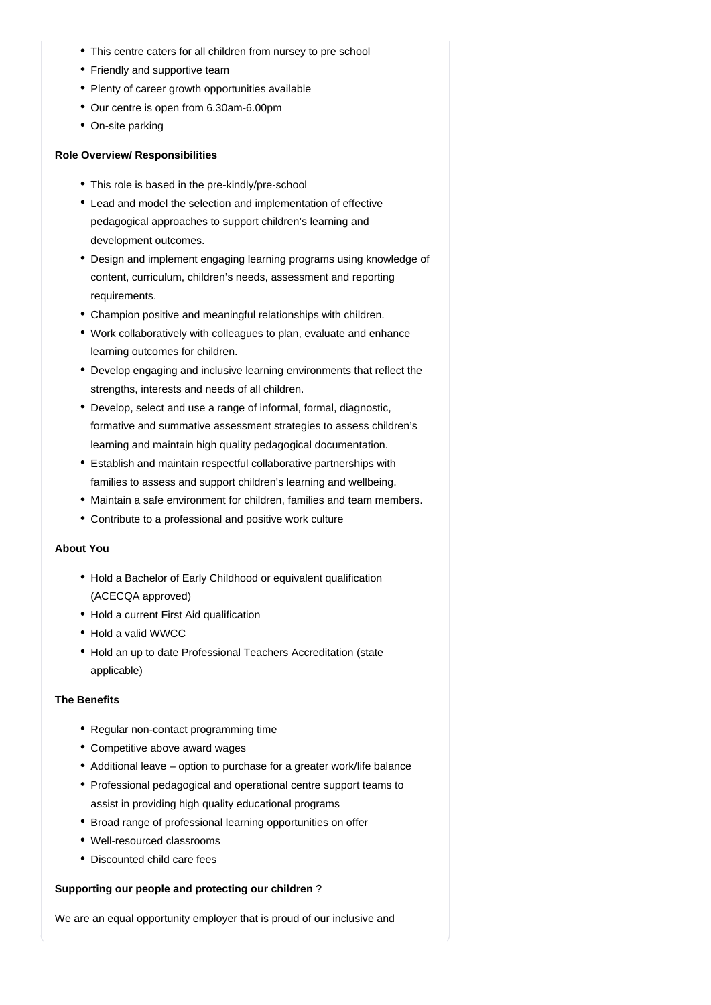- This centre caters for all children from nursey to pre school
- Friendly and supportive team
- Plenty of career growth opportunities available
- Our centre is open from 6.30am-6.00pm
- On-site parking

## **Role Overview/ Responsibilities**

- This role is based in the pre-kindly/pre-school
- Lead and model the selection and implementation of effective pedagogical approaches to support children's learning and development outcomes.
- Design and implement engaging learning programs using knowledge of content, curriculum, children's needs, assessment and reporting requirements.
- Champion positive and meaningful relationships with children.
- Work collaboratively with colleagues to plan, evaluate and enhance learning outcomes for children.
- Develop engaging and inclusive learning environments that reflect the strengths, interests and needs of all children.
- Develop, select and use a range of informal, formal, diagnostic, formative and summative assessment strategies to assess children's learning and maintain high quality pedagogical documentation.
- Establish and maintain respectful collaborative partnerships with families to assess and support children's learning and wellbeing.
- Maintain a safe environment for children, families and team members.
- Contribute to a professional and positive work culture

## **About You**

- Hold a Bachelor of Early Childhood or equivalent qualification (ACECQA approved)
- Hold a current First Aid qualification
- Hold a valid WWCC
- Hold an up to date Professional Teachers Accreditation (state applicable)

## **The Benefits**

- Regular non-contact programming time
- Competitive above award wages
- Additional leave option to purchase for a greater work/life balance
- Professional pedagogical and operational centre support teams to assist in providing high quality educational programs
- Broad range of professional learning opportunities on offer
- Well-resourced classrooms
- Discounted child care fees

## **Supporting our people and protecting our children** ?

We are an equal opportunity employer that is proud of our inclusive and